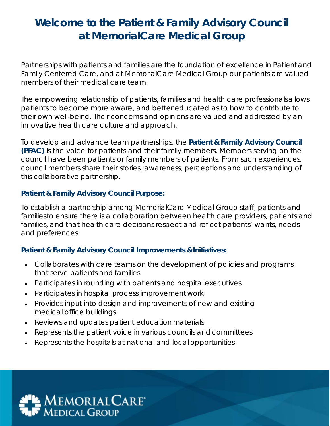## **Welcome to the Patient & Family Advisory Council at MemorialCare Medical Group**

Partnerships with patients and families are the foundation of excellence in Patient and Family Centered Care, and at MemorialCare Medical Group our patients are valued members of their medical care team.

The empowering relationship of patients, families and health care professionals allows patients to become more aware, and better educated as to how to contribute to their own well-being. Their concerns and opinions are valued and addressed by an innovative health care culture and approach.

To develop and advance team partnerships, the **Patient & Family Advisory Council (PFAC)** is the voice for patients and their family members. Members serving on the council have been patients or family members of patients. From such experiences, council members share their stories, awareness, perceptions and understanding of this collaborative partnership.

## **Patient & Family Advisory Council Purpose:**

To establish a partnership among MemorialCare Medical Group staff, patients and families to ensure there is a collaboration between health care providers, patients and families, and that health care decisions respect and reflect patients' wants, needs and preferences.

## **Patient & Family Advisory Council Improvements & Initiatives:**

- Collaborates with care teams on the development of policies and programs that serve patients and families
- Participates in rounding with patients and hospital executives
- Participates in hospital process improvement work
- Provides input into design and improvements of new and existing medical office buildings
- Reviews and updates patient education materials
- Represents the patient voice in various councils and committees
- Represents the hospitals at national and local opportunities